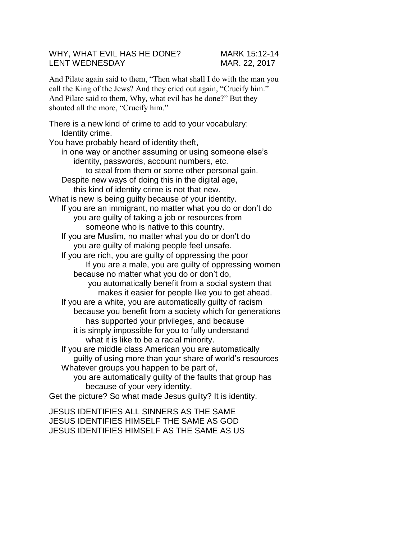## WHY, WHAT EVIL HAS HE DONE? MARK 15:12-14 LENT WEDNESDAY MAR. 22, 2017

And Pilate again said to them, "Then what shall I do with the man you call the King of the Jews? And they cried out again, "Crucify him." And Pilate said to them, Why, what evil has he done?" But they shouted all the more, "Crucify him."

There is a new kind of crime to add to your vocabulary: Identity crime. You have probably heard of identity theft, in one way or another assuming or using someone else's identity, passwords, account numbers, etc. to steal from them or some other personal gain. Despite new ways of doing this in the digital age, this kind of identity crime is not that new. What is new is being guilty because of your identity. If you are an immigrant, no matter what you do or don't do you are guilty of taking a job or resources from someone who is native to this country. If you are Muslim, no matter what you do or don't do you are guilty of making people feel unsafe. If you are rich, you are guilty of oppressing the poor If you are a male, you are guilty of oppressing women because no matter what you do or don't do, you automatically benefit from a social system that makes it easier for people like you to get ahead. If you are a white, you are automatically guilty of racism because you benefit from a society which for generations has supported your privileges, and because it is simply impossible for you to fully understand what it is like to be a racial minority. If you are middle class American you are automatically guilty of using more than your share of world's resources Whatever groups you happen to be part of, you are automatically guilty of the faults that group has because of your very identity. Get the picture? So what made Jesus guilty? It is identity.

JESUS IDENTIFIES ALL SINNERS AS THE SAME JESUS IDENTIFIES HIMSELF THE SAME AS GOD JESUS IDENTIFIES HIMSELF AS THE SAME AS US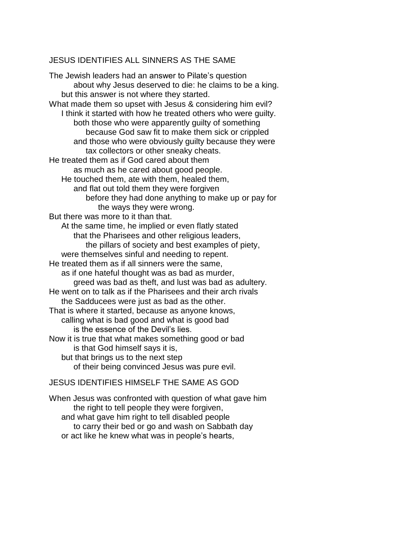## JESUS IDENTIFIES ALL SINNERS AS THE SAME

The Jewish leaders had an answer to Pilate's question about why Jesus deserved to die: he claims to be a king. but this answer is not where they started. What made them so upset with Jesus & considering him evil? I think it started with how he treated others who were guilty. both those who were apparently guilty of something because God saw fit to make them sick or crippled and those who were obviously guilty because they were tax collectors or other sneaky cheats. He treated them as if God cared about them as much as he cared about good people. He touched them, ate with them, healed them, and flat out told them they were forgiven before they had done anything to make up or pay for the ways they were wrong. But there was more to it than that. At the same time, he implied or even flatly stated that the Pharisees and other religious leaders, the pillars of society and best examples of piety, were themselves sinful and needing to repent. He treated them as if all sinners were the same, as if one hateful thought was as bad as murder, greed was bad as theft, and lust was bad as adultery. He went on to talk as if the Pharisees and their arch rivals the Sadducees were just as bad as the other. That is where it started, because as anyone knows, calling what is bad good and what is good bad is the essence of the Devil's lies. Now it is true that what makes something good or bad is that God himself says it is, but that brings us to the next step of their being convinced Jesus was pure evil.

## JESUS IDENTIFIES HIMSELF THE SAME AS GOD

When Jesus was confronted with question of what gave him the right to tell people they were forgiven, and what gave him right to tell disabled people to carry their bed or go and wash on Sabbath day or act like he knew what was in people's hearts,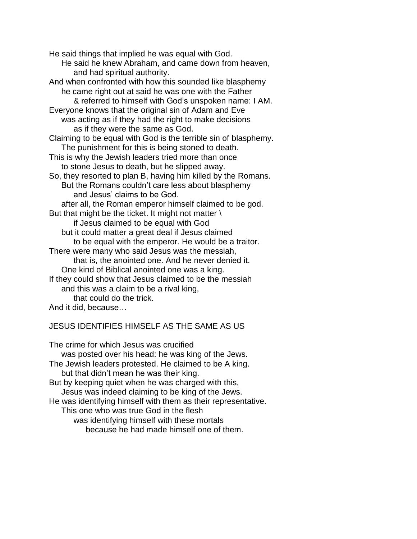He said things that implied he was equal with God. He said he knew Abraham, and came down from heaven, and had spiritual authority. And when confronted with how this sounded like blasphemy he came right out at said he was one with the Father & referred to himself with God's unspoken name: I AM. Everyone knows that the original sin of Adam and Eve was acting as if they had the right to make decisions as if they were the same as God. Claiming to be equal with God is the terrible sin of blasphemy. The punishment for this is being stoned to death. This is why the Jewish leaders tried more than once to stone Jesus to death, but he slipped away. So, they resorted to plan B, having him killed by the Romans. But the Romans couldn't care less about blasphemy and Jesus' claims to be God. after all, the Roman emperor himself claimed to be god. But that might be the ticket. It might not matter  $\setminus$ if Jesus claimed to be equal with God but it could matter a great deal if Jesus claimed to be equal with the emperor. He would be a traitor. There were many who said Jesus was the messiah, that is, the anointed one. And he never denied it. One kind of Biblical anointed one was a king. If they could show that Jesus claimed to be the messiah and this was a claim to be a rival king, that could do the trick. And it did, because…

## JESUS IDENTIFIES HIMSELF AS THE SAME AS US

The crime for which Jesus was crucified was posted over his head: he was king of the Jews. The Jewish leaders protested. He claimed to be A king. but that didn't mean he was their king. But by keeping quiet when he was charged with this, Jesus was indeed claiming to be king of the Jews. He was identifying himself with them as their representative. This one who was true God in the flesh was identifying himself with these mortals because he had made himself one of them.